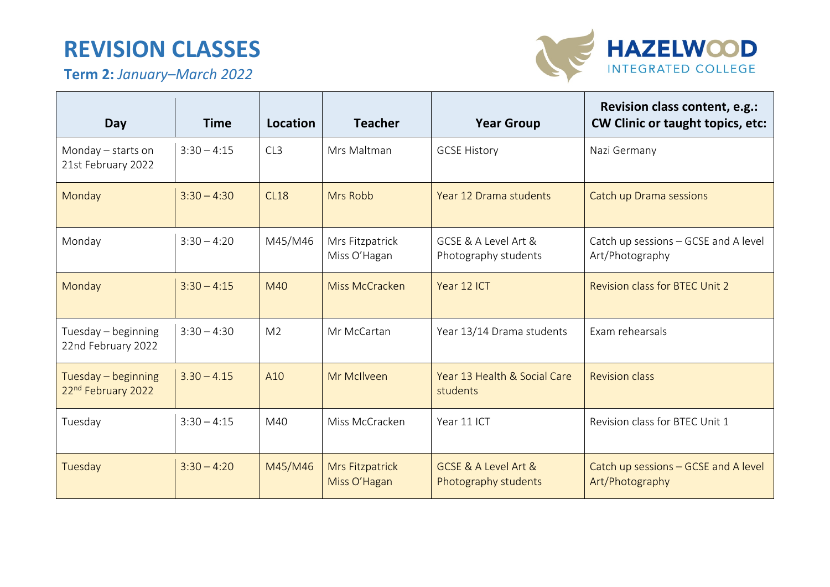## **REVISION CLASSES**

**Term 2:** *January–March 2022*



 $\sim$ 

| Day                                       | <b>Time</b>   | Location       | <b>Teacher</b>                  | <b>Year Group</b>                            | Revision class content, e.g.:<br><b>CW Clinic or taught topics, etc:</b> |
|-------------------------------------------|---------------|----------------|---------------------------------|----------------------------------------------|--------------------------------------------------------------------------|
| Monday - starts on<br>21st February 2022  | $3:30 - 4:15$ | CL3            | Mrs Maltman                     | <b>GCSE History</b>                          | Nazi Germany                                                             |
| Monday                                    | $3:30 - 4:30$ | <b>CL18</b>    | Mrs Robb                        | Year 12 Drama students                       | Catch up Drama sessions                                                  |
| Monday                                    | $3:30 - 4:20$ | M45/M46        | Mrs Fitzpatrick<br>Miss O'Hagan | GCSE & A Level Art &<br>Photography students | Catch up sessions - GCSE and A level<br>Art/Photography                  |
| Monday                                    | $3:30 - 4:15$ | M40            | Miss McCracken                  | Year 12 ICT                                  | <b>Revision class for BTEC Unit 2</b>                                    |
| Tuesday - beginning<br>22nd February 2022 | $3:30 - 4:30$ | M <sub>2</sub> | Mr McCartan                     | Year 13/14 Drama students                    | Exam rehearsals                                                          |
| Tuesday - beginning<br>22nd February 2022 | $3.30 - 4.15$ | A10            | Mr McIlveen                     | Year 13 Health & Social Care<br>students     | <b>Revision class</b>                                                    |
| Tuesday                                   | $3:30 - 4:15$ | M40            | Miss McCracken                  | Year 11 ICT                                  | Revision class for BTEC Unit 1                                           |
| Tuesday                                   | $3:30 - 4:20$ | M45/M46        | Mrs Fitzpatrick<br>Miss O'Hagan | GCSE & A Level Art &<br>Photography students | Catch up sessions - GCSE and A level<br>Art/Photography                  |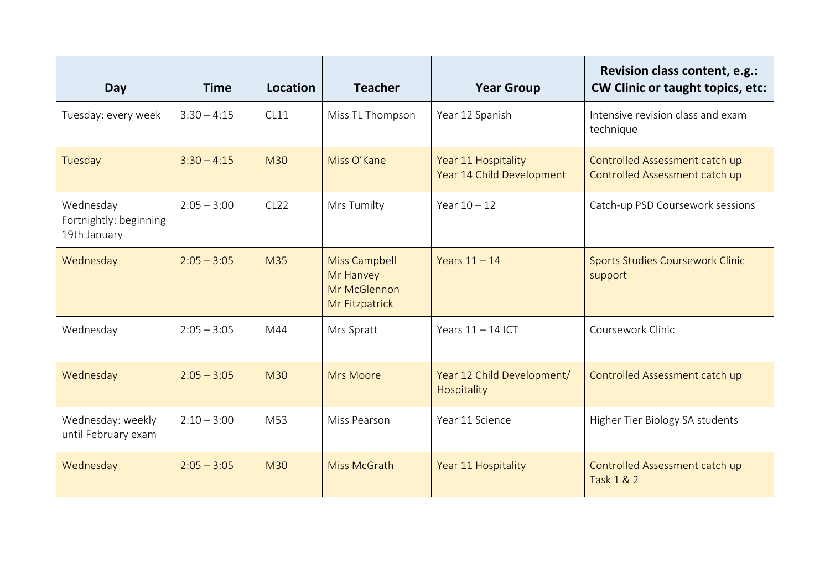| Day                                                 | <b>Time</b>   | Location         | <b>Teacher</b>                                                      | <b>Year Group</b>                                | Revision class content, e.g.:<br><b>CW Clinic or taught topics, etc:</b> |
|-----------------------------------------------------|---------------|------------------|---------------------------------------------------------------------|--------------------------------------------------|--------------------------------------------------------------------------|
| Tuesday: every week                                 | $3:30 - 4:15$ | CL11             | Miss TL Thompson                                                    | Year 12 Spanish                                  | Intensive revision class and exam<br>technique                           |
| Tuesday                                             | $3:30 - 4:15$ | <b>M30</b>       | Miss O'Kane                                                         | Year 11 Hospitality<br>Year 14 Child Development | Controlled Assessment catch up<br>Controlled Assessment catch up         |
| Wednesday<br>Fortnightly: beginning<br>19th January | $2:05 - 3:00$ | CL <sub>22</sub> | Mrs Tumilty                                                         | Year $10 - 12$                                   | Catch-up PSD Coursework sessions                                         |
| Wednesday                                           | $2:05 - 3:05$ | M35              | <b>Miss Campbell</b><br>Mr Hanvey<br>Mr McGlennon<br>Mr Fitzpatrick | Years $11 - 14$                                  | <b>Sports Studies Coursework Clinic</b><br>support                       |
| Wednesday                                           | $2:05 - 3:05$ | M44              | Mrs Spratt                                                          | Years $11 - 14$ ICT                              | Coursework Clinic                                                        |
| Wednesday                                           | $2:05 - 3:05$ | <b>M30</b>       | <b>Mrs Moore</b>                                                    | Year 12 Child Development/<br>Hospitality        | Controlled Assessment catch up                                           |
| Wednesday: weekly<br>until February exam            | $2:10 - 3:00$ | M53              | Miss Pearson                                                        | Year 11 Science                                  | Higher Tier Biology SA students                                          |
| Wednesday                                           | $2:05 - 3:05$ | M30              | Miss McGrath                                                        | Year 11 Hospitality                              | Controlled Assessment catch up<br><b>Task 1 &amp; 2</b>                  |